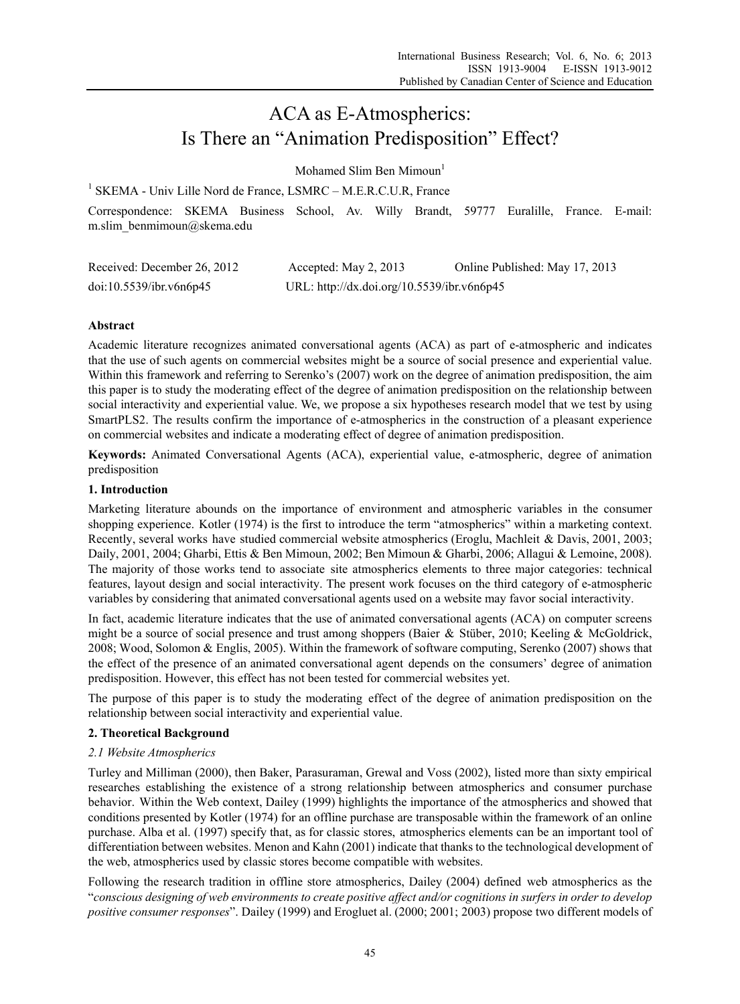# ACA as E-Atmospherics: Is There an "Animation Predisposition" Effect?

Mohamed Slim Ben Mimoun $<sup>1</sup>$ </sup>

<sup>1</sup> SKEMA - Univ Lille Nord de France, LSMRC – M.E.R.C.U.R, France

Correspondence: SKEMA Business School, Av. Willy Brandt, 59777 Euralille, France. E-mail: m.slim\_benmimoun@skema.edu

| Received: December 26, 2012 | Accepted: May 2, 2013                      | Online Published: May 17, 2013 |
|-----------------------------|--------------------------------------------|--------------------------------|
| doi:10.5539/ibr.v6n6p45     | URL: http://dx.doi.org/10.5539/ibr.v6n6p45 |                                |

# **Abstract**

Academic literature recognizes animated conversational agents (ACA) as part of e-atmospheric and indicates that the use of such agents on commercial websites might be a source of social presence and experiential value. Within this framework and referring to Serenko's (2007) work on the degree of animation predisposition, the aim this paper is to study the moderating effect of the degree of animation predisposition on the relationship between social interactivity and experiential value. We, we propose a six hypotheses research model that we test by using SmartPLS2. The results confirm the importance of e-atmospherics in the construction of a pleasant experience on commercial websites and indicate a moderating effect of degree of animation predisposition.

**Keywords:** Animated Conversational Agents (ACA), experiential value, e-atmospheric, degree of animation predisposition

# **1. Introduction**

Marketing literature abounds on the importance of environment and atmospheric variables in the consumer shopping experience. Kotler (1974) is the first to introduce the term "atmospherics" within a marketing context. Recently, several works have studied commercial website atmospherics (Eroglu, Machleit & Davis, 2001, 2003; Daily, 2001, 2004; Gharbi, Ettis & Ben Mimoun, 2002; Ben Mimoun & Gharbi, 2006; Allagui & Lemoine, 2008). The majority of those works tend to associate site atmospherics elements to three major categories: technical features, layout design and social interactivity. The present work focuses on the third category of e-atmospheric variables by considering that animated conversational agents used on a website may favor social interactivity.

In fact, academic literature indicates that the use of animated conversational agents (ACA) on computer screens might be a source of social presence and trust among shoppers (Baier & Stüber, 2010; Keeling & McGoldrick, 2008; Wood, Solomon & Englis, 2005). Within the framework of software computing, Serenko (2007) shows that the effect of the presence of an animated conversational agent depends on the consumers' degree of animation predisposition. However, this effect has not been tested for commercial websites yet.

The purpose of this paper is to study the moderating effect of the degree of animation predisposition on the relationship between social interactivity and experiential value.

# **2. Theoretical Background**

# *2.1 Website Atmospherics*

Turley and Milliman (2000), then Baker, Parasuraman, Grewal and Voss (2002), listed more than sixty empirical researches establishing the existence of a strong relationship between atmospherics and consumer purchase behavior. Within the Web context, Dailey (1999) highlights the importance of the atmospherics and showed that conditions presented by Kotler (1974) for an offline purchase are transposable within the framework of an online purchase. Alba et al. (1997) specify that, as for classic stores, atmospherics elements can be an important tool of differentiation between websites. Menon and Kahn (2001) indicate that thanks to the technological development of the web, atmospherics used by classic stores become compatible with websites.

Following the research tradition in offline store atmospherics, Dailey (2004) defined web atmospherics as the "*conscious designing of web environments to create positive affect and/or cognitions in surfers in order to develop positive consumer responses*". Dailey (1999) and Erogluet al. (2000; 2001; 2003) propose two different models of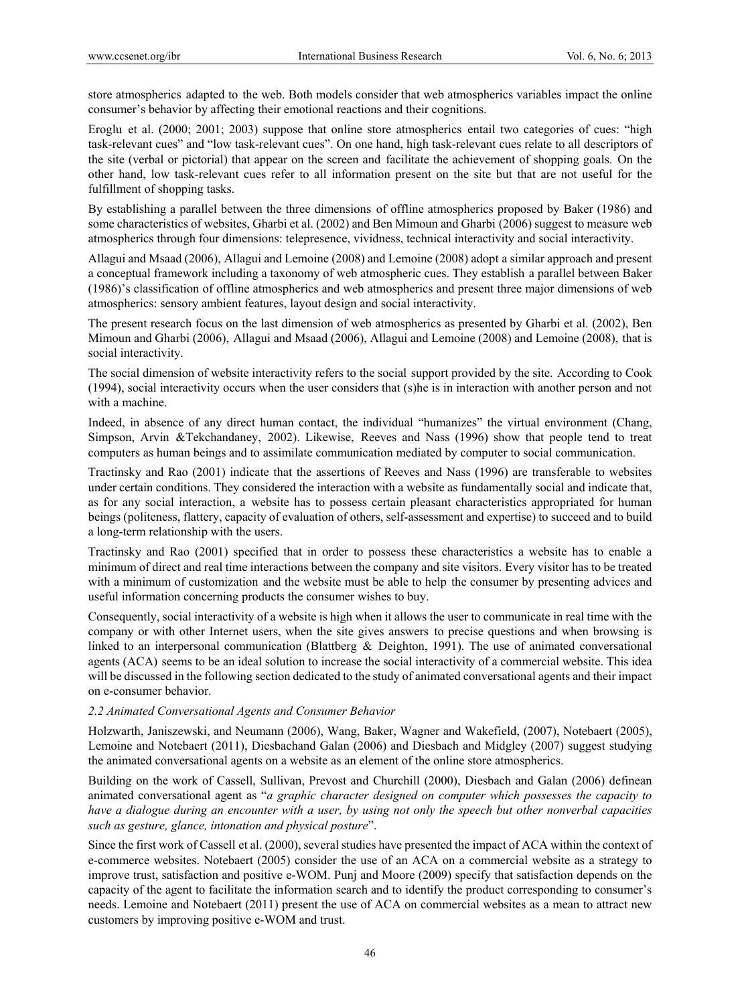store atmospherics adapted to the web. Both models consider that web atmospherics variables impact the online consumer's behavior by affecting their emotional reactions and their cognitions.

Eroglu et al. (2000; 2001; 2003) suppose that online store atmospherics entail two categories of cues: "high task-relevant cues" and "low task-relevant cues". On one hand, high task-relevant cues relate to all descriptors of the site (verbal or pictorial) that appear on the screen and facilitate the achievement of shopping goals. On the other hand, low task-relevant cues refer to all information present on the site but that are not useful for the fulfillment of shopping tasks.

By establishing a parallel between the three dimensions of offline atmospherics proposed by Baker (1986) and some characteristics of websites, Gharbi et al. (2002) and Ben Mimoun and Gharbi (2006) suggest to measure web atmospherics through four dimensions: telepresence, vividness, technical interactivity and social interactivity.

Allagui and Msaad (2006), Allagui and Lemoine (2008) and Lemoine (2008) adopt a similar approach and present a conceptual framework including a taxonomy of web atmospheric cues. They establish a parallel between Baker (1986)'s classification of offline atmospherics and web atmospherics and present three major dimensions of web atmospherics: sensory ambient features, layout design and social interactivity.

The present research focus on the last dimension of web atmospherics as presented by Gharbi et al. (2002), Ben Mimoun and Gharbi (2006), Allagui and Msaad (2006), Allagui and Lemoine (2008) and Lemoine (2008), that is social interactivity.

The social dimension of website interactivity refers to the social support provided by the site. According to Cook (1994), social interactivity occurs when the user considers that (s)he is in interaction with another person and not with a machine.

Indeed, in absence of any direct human contact, the individual "humanizes" the virtual environment (Chang, Simpson, Arvin &Tekchandaney, 2002). Likewise, Reeves and Nass (1996) show that people tend to treat computers as human beings and to assimilate communication mediated by computer to social communication.

Tractinsky and Rao (2001) indicate that the assertions of Reeves and Nass (1996) are transferable to websites under certain conditions. They considered the interaction with a website as fundamentally social and indicate that, as for any social interaction, a website has to possess certain pleasant characteristics appropriated for human beings (politeness, flattery, capacity of evaluation of others, self-assessment and expertise) to succeed and to build a long-term relationship with the users.

Tractinsky and Rao (2001) specified that in order to possess these characteristics a website has to enable a minimum of direct and real time interactions between the company and site visitors. Every visitor has to be treated with a minimum of customization and the website must be able to help the consumer by presenting advices and useful information concerning products the consumer wishes to buy.

Consequently, social interactivity of a website is high when it allows the user to communicate in real time with the company or with other Internet users, when the site gives answers to precise questions and when browsing is linked to an interpersonal communication (Blattberg & Deighton, 1991). The use of animated conversational agents (ACA) seems to be an ideal solution to increase the social interactivity of a commercial website. This idea will be discussed in the following section dedicated to the study of animated conversational agents and their impact on e-consumer behavior.

### *2.2 Animated Conversational Agents and Consumer Behavior*

Holzwarth, Janiszewski, and Neumann (2006), Wang, Baker, Wagner and Wakefield, (2007), Notebaert (2005), Lemoine and Notebaert (2011), Diesbachand Galan (2006) and Diesbach and Midgley (2007) suggest studying the animated conversational agents on a website as an element of the online store atmospherics.

Building on the work of Cassell, Sullivan, Prevost and Churchill (2000), Diesbach and Galan (2006) definean animated conversational agent as "*a graphic character designed on computer which possesses the capacity to have a dialogue during an encounter with a user, by using not only the speech but other nonverbal capacities such as gesture, glance, intonation and physical posture*".

Since the first work of Cassell et al. (2000), several studies have presented the impact of ACA within the context of e-commerce websites. Notebaert (2005) consider the use of an ACA on a commercial website as a strategy to improve trust, satisfaction and positive e-WOM. Punj and Moore (2009) specify that satisfaction depends on the capacity of the agent to facilitate the information search and to identify the product corresponding to consumer's needs. Lemoine and Notebaert (2011) present the use of ACA on commercial websites as a mean to attract new customers by improving positive e-WOM and trust.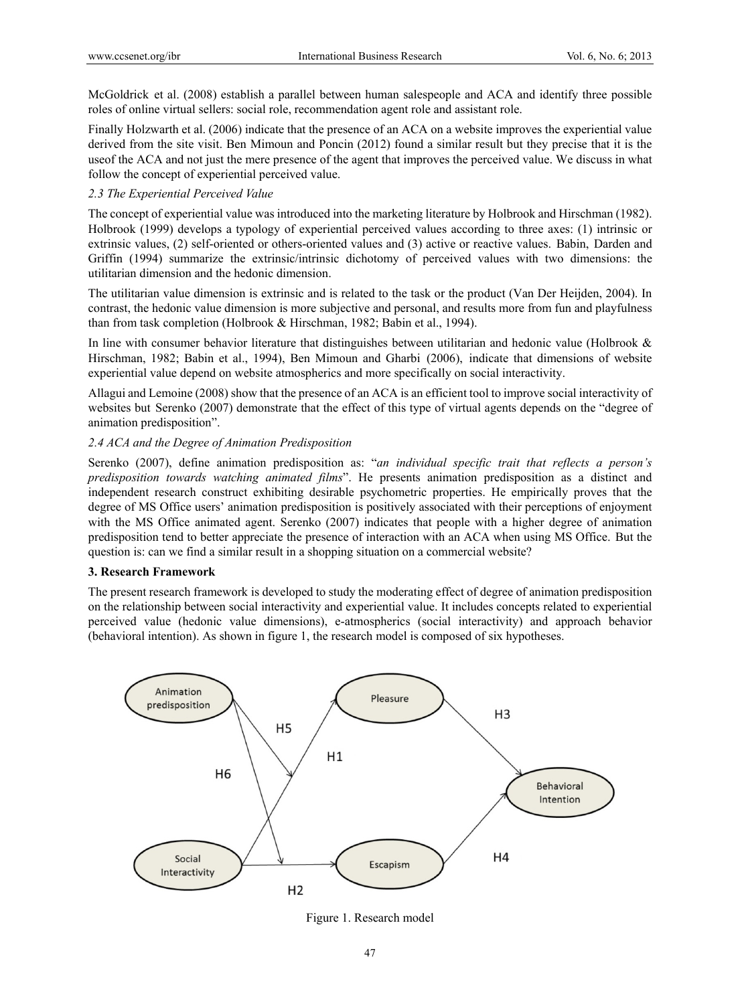McGoldrick et al. (2008) establish a parallel between human salespeople and ACA and identify three possible roles of online virtual sellers: social role, recommendation agent role and assistant role.

Finally Holzwarth et al. (2006) indicate that the presence of an ACA on a website improves the experiential value derived from the site visit. Ben Mimoun and Poncin (2012) found a similar result but they precise that it is the useof the ACA and not just the mere presence of the agent that improves the perceived value. We discuss in what follow the concept of experiential perceived value.

### *2.3 The Experiential Perceived Value*

The concept of experiential value was introduced into the marketing literature by Holbrook and Hirschman (1982). Holbrook (1999) develops a typology of experiential perceived values according to three axes: (1) intrinsic or extrinsic values, (2) self-oriented or others-oriented values and (3) active or reactive values. Babin, Darden and Griffin (1994) summarize the extrinsic/intrinsic dichotomy of perceived values with two dimensions: the utilitarian dimension and the hedonic dimension.

The utilitarian value dimension is extrinsic and is related to the task or the product (Van Der Heijden, 2004). In contrast, the hedonic value dimension is more subjective and personal, and results more from fun and playfulness than from task completion (Holbrook & Hirschman, 1982; Babin et al., 1994).

In line with consumer behavior literature that distinguishes between utilitarian and hedonic value (Holbrook & Hirschman, 1982; Babin et al., 1994), Ben Mimoun and Gharbi (2006), indicate that dimensions of website experiential value depend on website atmospherics and more specifically on social interactivity.

Allagui and Lemoine (2008) show that the presence of an ACA is an efficient tool to improve social interactivity of websites but Serenko (2007) demonstrate that the effect of this type of virtual agents depends on the "degree of animation predisposition".

# *2.4 ACA and the Degree of Animation Predisposition*

Serenko (2007), define animation predisposition as: "*an individual specific trait that reflects a person's predisposition towards watching animated films*". He presents animation predisposition as a distinct and independent research construct exhibiting desirable psychometric properties. He empirically proves that the degree of MS Office users' animation predisposition is positively associated with their perceptions of enjoyment with the MS Office animated agent. Serenko (2007) indicates that people with a higher degree of animation predisposition tend to better appreciate the presence of interaction with an ACA when using MS Office. But the question is: can we find a similar result in a shopping situation on a commercial website?

### **3. Research Framework**

The present research framework is developed to study the moderating effect of degree of animation predisposition on the relationship between social interactivity and experiential value. It includes concepts related to experiential perceived value (hedonic value dimensions), e-atmospherics (social interactivity) and approach behavior (behavioral intention). As shown in figure 1, the research model is composed of six hypotheses.



Figure 1. Research model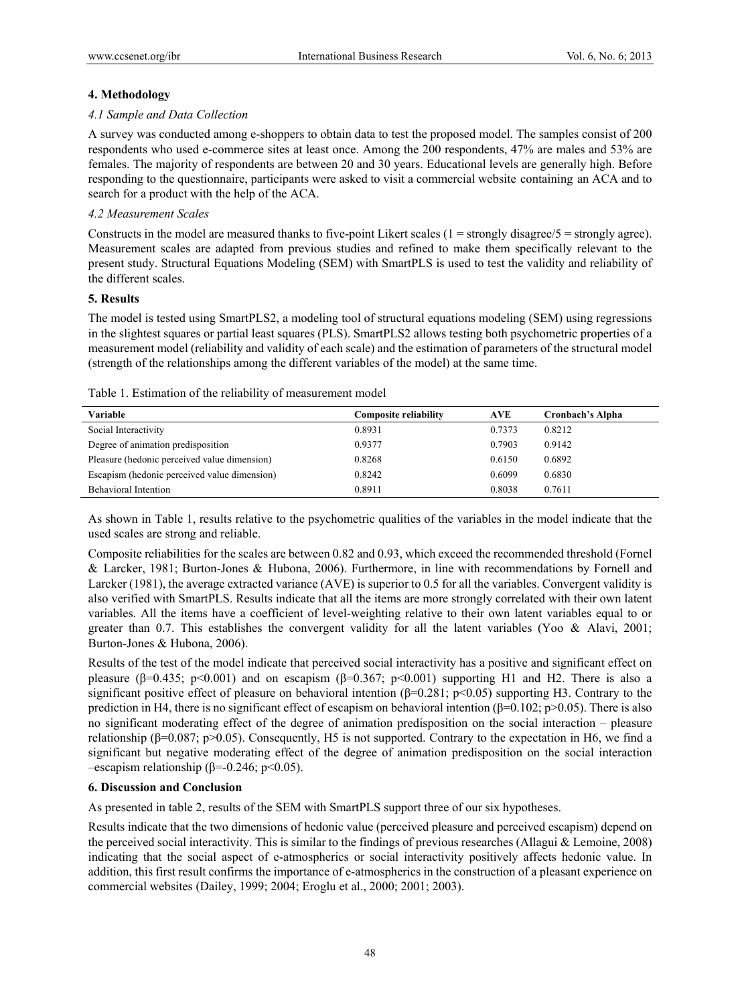# **4. Methodology**

# *4.1 Sample and Data Collection*

A survey was conducted among e-shoppers to obtain data to test the proposed model. The samples consist of 200 respondents who used e-commerce sites at least once. Among the 200 respondents, 47% are males and 53% are females. The majority of respondents are between 20 and 30 years. Educational levels are generally high. Before responding to the questionnaire, participants were asked to visit a commercial website containing an ACA and to search for a product with the help of the ACA.

# *4.2 Measurement Scales*

Constructs in the model are measured thanks to five-point Likert scales  $(1 =$  strongly disagree/ $5 =$  strongly agree). Measurement scales are adapted from previous studies and refined to make them specifically relevant to the present study. Structural Equations Modeling (SEM) with SmartPLS is used to test the validity and reliability of the different scales.

# **5. Results**

The model is tested using SmartPLS2, a modeling tool of structural equations modeling (SEM) using regressions in the slightest squares or partial least squares (PLS). SmartPLS2 allows testing both psychometric properties of a measurement model (reliability and validity of each scale) and the estimation of parameters of the structural model (strength of the relationships among the different variables of the model) at the same time.

| Variable                                     | Composite reliability | <b>AVE</b> | Cronbach's Alpha |
|----------------------------------------------|-----------------------|------------|------------------|
| Social Interactivity                         | 0.8931                | 0.7373     | 0.8212           |
| Degree of animation predisposition           | 0.9377                | 0.7903     | 0.9142           |
| Pleasure (hedonic perceived value dimension) | 0.8268                | 0.6150     | 0.6892           |
| Escapism (hedonic perceived value dimension) | 0.8242                | 0.6099     | 0.6830           |
| Behavioral Intention                         | 0.8911                | 0.8038     | 0.7611           |

Table 1. Estimation of the reliability of measurement model

As shown in Table 1, results relative to the psychometric qualities of the variables in the model indicate that the used scales are strong and reliable.

Composite reliabilities for the scales are between 0.82 and 0.93, which exceed the recommended threshold (Fornel & Larcker, 1981; Burton-Jones & Hubona, 2006). Furthermore, in line with recommendations by Fornell and Larcker (1981), the average extracted variance (AVE) is superior to 0.5 for all the variables. Convergent validity is also verified with SmartPLS. Results indicate that all the items are more strongly correlated with their own latent variables. All the items have a coefficient of level-weighting relative to their own latent variables equal to or greater than 0.7. This establishes the convergent validity for all the latent variables (Yoo & Alavi, 2001; Burton-Jones & Hubona, 2006).

Results of the test of the model indicate that perceived social interactivity has a positive and significant effect on pleasure ( $\beta$ =0.435; p<0.001) and on escapism ( $\beta$ =0.367; p<0.001) supporting H1 and H2. There is also a significant positive effect of pleasure on behavioral intention ( $\beta$ =0.281; p<0.05) supporting H3. Contrary to the prediction in H4, there is no significant effect of escapism on behavioral intention (β=0.102; p>0.05). There is also no significant moderating effect of the degree of animation predisposition on the social interaction – pleasure relationship (β=0.087; p>0.05). Consequently, H5 is not supported. Contrary to the expectation in H6, we find a significant but negative moderating effect of the degree of animation predisposition on the social interaction –escapism relationship (β=-0.246; p<0.05).

### **6. Discussion and Conclusion**

As presented in table 2, results of the SEM with SmartPLS support three of our six hypotheses.

Results indicate that the two dimensions of hedonic value (perceived pleasure and perceived escapism) depend on the perceived social interactivity. This is similar to the findings of previous researches (Allagui & Lemoine, 2008) indicating that the social aspect of e-atmospherics or social interactivity positively affects hedonic value. In addition, this first result confirms the importance of e-atmospherics in the construction of a pleasant experience on commercial websites (Dailey, 1999; 2004; Eroglu et al., 2000; 2001; 2003).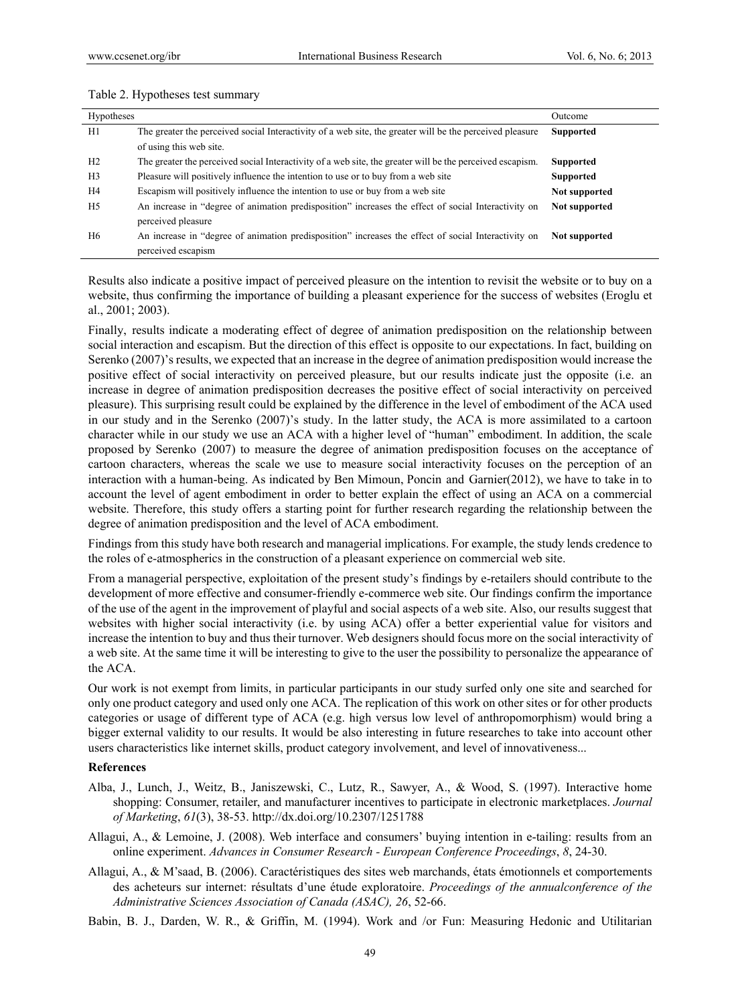| <b>Hypotheses</b> |                                                                                                           | Outcome          |
|-------------------|-----------------------------------------------------------------------------------------------------------|------------------|
| H1                | The greater the perceived social Interactivity of a web site, the greater will be the perceived pleasure  | <b>Supported</b> |
|                   | of using this web site.                                                                                   |                  |
| H <sub>2</sub>    | The greater the perceived social Interactivity of a web site, the greater will be the perceived escapism. | <b>Supported</b> |
| H <sub>3</sub>    | Pleasure will positively influence the intention to use or to buy from a web site                         | <b>Supported</b> |
| H4                | Escapism will positively influence the intention to use or buy from a web site                            | Not supported    |
| H <sub>5</sub>    | An increase in "degree of animation predisposition" increases the effect of social Interactivity on       | Not supported    |
|                   | perceived pleasure                                                                                        |                  |
| H6                | An increase in "degree of animation predisposition" increases the effect of social Interactivity on       | Not supported    |
|                   | perceived escapism                                                                                        |                  |

#### Table 2. Hypotheses test summary

Results also indicate a positive impact of perceived pleasure on the intention to revisit the website or to buy on a website, thus confirming the importance of building a pleasant experience for the success of websites (Eroglu et al., 2001; 2003).

Finally, results indicate a moderating effect of degree of animation predisposition on the relationship between social interaction and escapism. But the direction of this effect is opposite to our expectations. In fact, building on Serenko (2007)'s results, we expected that an increase in the degree of animation predisposition would increase the positive effect of social interactivity on perceived pleasure, but our results indicate just the opposite (i.e. an increase in degree of animation predisposition decreases the positive effect of social interactivity on perceived pleasure). This surprising result could be explained by the difference in the level of embodiment of the ACA used in our study and in the Serenko (2007)'s study. In the latter study, the ACA is more assimilated to a cartoon character while in our study we use an ACA with a higher level of "human" embodiment. In addition, the scale proposed by Serenko (2007) to measure the degree of animation predisposition focuses on the acceptance of cartoon characters, whereas the scale we use to measure social interactivity focuses on the perception of an interaction with a human-being. As indicated by Ben Mimoun, Poncin and Garnier(2012), we have to take in to account the level of agent embodiment in order to better explain the effect of using an ACA on a commercial website. Therefore, this study offers a starting point for further research regarding the relationship between the degree of animation predisposition and the level of ACA embodiment.

Findings from this study have both research and managerial implications. For example, the study lends credence to the roles of e-atmospherics in the construction of a pleasant experience on commercial web site.

From a managerial perspective, exploitation of the present study's findings by e-retailers should contribute to the development of more effective and consumer-friendly e-commerce web site. Our findings confirm the importance of the use of the agent in the improvement of playful and social aspects of a web site. Also, our results suggest that websites with higher social interactivity (i.e. by using ACA) offer a better experiential value for visitors and increase the intention to buy and thus their turnover. Web designers should focus more on the social interactivity of a web site. At the same time it will be interesting to give to the user the possibility to personalize the appearance of the ACA.

Our work is not exempt from limits, in particular participants in our study surfed only one site and searched for only one product category and used only one ACA. The replication of this work on other sites or for other products categories or usage of different type of ACA (e.g. high versus low level of anthropomorphism) would bring a bigger external validity to our results. It would be also interesting in future researches to take into account other users characteristics like internet skills, product category involvement, and level of innovativeness...

#### **References**

- Alba, J., Lunch, J., Weitz, B., Janiszewski, C., Lutz, R., Sawyer, A., & Wood, S. (1997). Interactive home shopping: Consumer, retailer, and manufacturer incentives to participate in electronic marketplaces. *Journal of Marketing*, *61*(3), 38-53. http://dx.doi.org/10.2307/1251788
- Allagui, A., & Lemoine, J. (2008). Web interface and consumers' buying intention in e-tailing: results from an online experiment. *Advances in Consumer Research - European Conference Proceedings*, *8*, 24-30.
- Allagui, A., & M'saad, B. (2006). Caractéristiques des sites web marchands, états émotionnels et comportements des acheteurs sur internet: résultats d'une étude exploratoire. *Proceedings of the annualconference of the Administrative Sciences Association of Canada (ASAC), 26*, 52-66.

Babin, B. J., Darden, W. R., & Griffin, M. (1994). Work and /or Fun: Measuring Hedonic and Utilitarian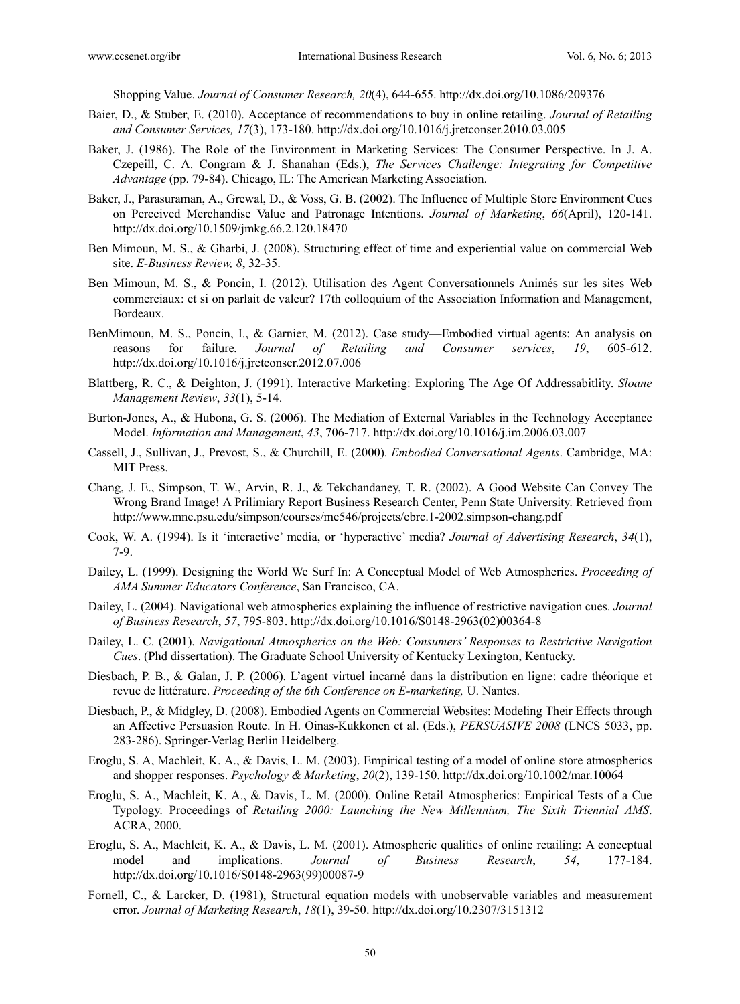Shopping Value. *Journal of Consumer Research, 20*(4), 644-655. http://dx.doi.org/10.1086/209376

- Baier, D., & Stuber, E. (2010). Acceptance of recommendations to buy in online retailing. *Journal of Retailing and Consumer Services, 17*(3), 173-180. http://dx.doi.org/10.1016/j.jretconser.2010.03.005
- Baker, J. (1986). The Role of the Environment in Marketing Services: The Consumer Perspective. In J. A. Czepeill, C. A. Congram & J. Shanahan (Eds.), *The Services Challenge: Integrating for Competitive Advantage* (pp. 79-84). Chicago, IL: The American Marketing Association.
- Baker, J., Parasuraman, A., Grewal, D., & Voss, G. B. (2002). The Influence of Multiple Store Environment Cues on Perceived Merchandise Value and Patronage Intentions. *Journal of Marketing*, *66*(April), 120-141. http://dx.doi.org/10.1509/jmkg.66.2.120.18470
- Ben Mimoun, M. S., & Gharbi, J. (2008). Structuring effect of time and experiential value on commercial Web site. *E-Business Review, 8*, 32-35.
- Ben Mimoun, M. S., & Poncin, I. (2012). Utilisation des Agent Conversationnels Animés sur les sites Web commerciaux: et si on parlait de valeur? 17th colloquium of the Association Information and Management, Bordeaux.
- BenMimoun, M. S., Poncin, I., & Garnier, M. (2012). Case study—Embodied virtual agents: An analysis on reasons for failure*. Journal of Retailing and Consumer services*, *19*, 605-612. http://dx.doi.org/10.1016/j.jretconser.2012.07.006
- Blattberg, R. C., & Deighton, J. (1991). Interactive Marketing: Exploring The Age Of Addressabitlity. *Sloane Management Review*, *33*(1), 5-14.
- Burton-Jones, A., & Hubona, G. S. (2006). The Mediation of External Variables in the Technology Acceptance Model. *Information and Management*, *43*, 706-717. http://dx.doi.org/10.1016/j.im.2006.03.007
- Cassell, J., Sullivan, J., Prevost, S., & Churchill, E. (2000). *Embodied Conversational Agents*. Cambridge, MA: MIT Press.
- Chang, J. E., Simpson, T. W., Arvin, R. J., & Tekchandaney, T. R. (2002). A Good Website Can Convey The Wrong Brand Image! A Prilimiary Report Business Research Center, Penn State University. Retrieved from http://www.mne.psu.edu/simpson/courses/me546/projects/ebrc.1-2002.simpson-chang.pdf
- Cook, W. A. (1994). Is it 'interactive' media, or 'hyperactive' media? *Journal of Advertising Research*, *34*(1), 7-9.
- Dailey, L. (1999). Designing the World We Surf In: A Conceptual Model of Web Atmospherics. *Proceeding of AMA Summer Educators Conference*, San Francisco, CA.
- Dailey, L. (2004). Navigational web atmospherics explaining the influence of restrictive navigation cues. *Journal of Business Research*, *57*, 795-803. http://dx.doi.org/10.1016/S0148-2963(02)00364-8
- Dailey, L. C. (2001). *Navigational Atmospherics on the Web: Consumers' Responses to Restrictive Navigation Cues*. (Phd dissertation). The Graduate School University of Kentucky Lexington, Kentucky.
- Diesbach, P. B., & Galan, J. P. (2006). L'agent virtuel incarné dans la distribution en ligne: cadre théorique et revue de littérature. *Proceeding of the 6th Conference on E-marketing,* U. Nantes.
- Diesbach, P., & Midgley, D. (2008). Embodied Agents on Commercial Websites: Modeling Their Effects through an Affective Persuasion Route. In H. Oinas-Kukkonen et al. (Eds.), *PERSUASIVE 2008* (LNCS 5033, pp. 283-286). Springer-Verlag Berlin Heidelberg.
- Eroglu, S. A, Machleit, K. A., & Davis, L. M. (2003). Empirical testing of a model of online store atmospherics and shopper responses. *Psychology & Marketing*, *20*(2), 139-150. http://dx.doi.org/10.1002/mar.10064
- Eroglu, S. A., Machleit, K. A., & Davis, L. M. (2000). Online Retail Atmospherics: Empirical Tests of a Cue Typology. Proceedings of *Retailing 2000: Launching the New Millennium, The Sixth Triennial AMS*. ACRA, 2000.
- Eroglu, S. A., Machleit, K. A., & Davis, L. M. (2001). Atmospheric qualities of online retailing: A conceptual model and implications. *Journal of Business Research*, *54*, 177-184. http://dx.doi.org/10.1016/S0148-2963(99)00087-9
- Fornell, C., & Larcker, D. (1981), Structural equation models with unobservable variables and measurement error. *Journal of Marketing Research*, *18*(1), 39-50. http://dx.doi.org/10.2307/3151312